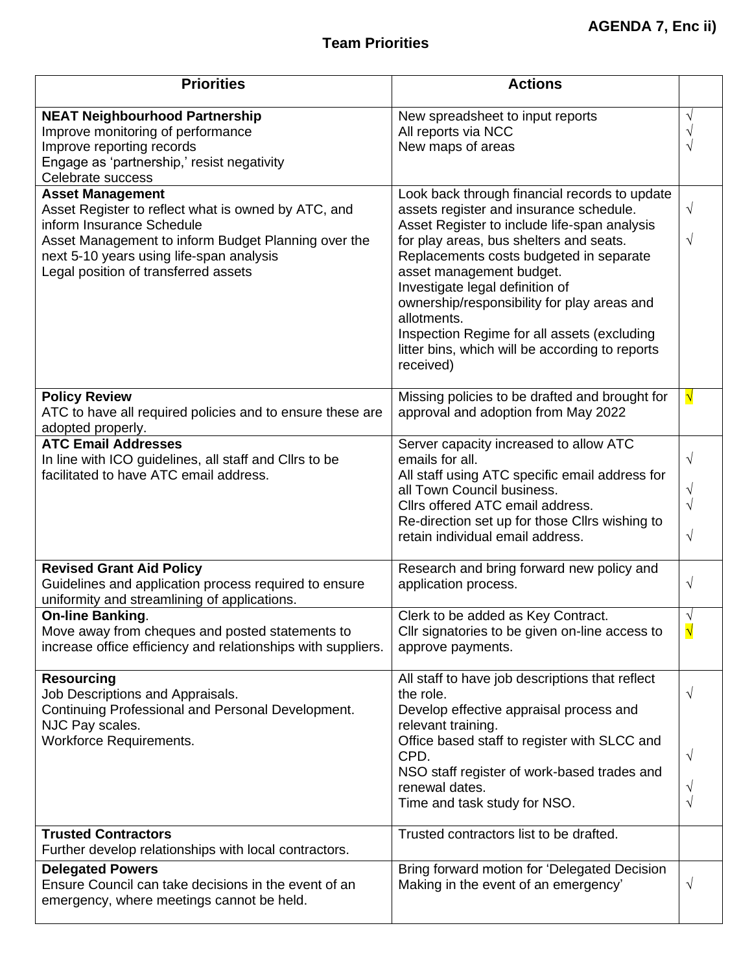| <b>Priorities</b>                                                                                                                                                                                                                                      | <b>Actions</b>                                                                                                                                                                                                                                                                                                                                                                                                                                                             |                                         |
|--------------------------------------------------------------------------------------------------------------------------------------------------------------------------------------------------------------------------------------------------------|----------------------------------------------------------------------------------------------------------------------------------------------------------------------------------------------------------------------------------------------------------------------------------------------------------------------------------------------------------------------------------------------------------------------------------------------------------------------------|-----------------------------------------|
| <b>NEAT Neighbourhood Partnership</b><br>Improve monitoring of performance<br>Improve reporting records<br>Engage as 'partnership,' resist negativity<br>Celebrate success                                                                             | New spreadsheet to input reports<br>All reports via NCC<br>New maps of areas                                                                                                                                                                                                                                                                                                                                                                                               |                                         |
| <b>Asset Management</b><br>Asset Register to reflect what is owned by ATC, and<br>inform Insurance Schedule<br>Asset Management to inform Budget Planning over the<br>next 5-10 years using life-span analysis<br>Legal position of transferred assets | Look back through financial records to update<br>assets register and insurance schedule.<br>Asset Register to include life-span analysis<br>for play areas, bus shelters and seats.<br>Replacements costs budgeted in separate<br>asset management budget.<br>Investigate legal definition of<br>ownership/responsibility for play areas and<br>allotments.<br>Inspection Regime for all assets (excluding<br>litter bins, which will be according to reports<br>received) | $\sqrt{}$<br>V                          |
| <b>Policy Review</b><br>ATC to have all required policies and to ensure these are<br>adopted properly.                                                                                                                                                 | Missing policies to be drafted and brought for<br>approval and adoption from May 2022                                                                                                                                                                                                                                                                                                                                                                                      | √                                       |
| <b>ATC Email Addresses</b><br>In line with ICO guidelines, all staff and Cllrs to be<br>facilitated to have ATC email address.                                                                                                                         | Server capacity increased to allow ATC<br>emails for all.<br>All staff using ATC specific email address for<br>all Town Council business.<br>Cllrs offered ATC email address.<br>Re-direction set up for those Cllrs wishing to<br>retain individual email address.                                                                                                                                                                                                        | $\sqrt{}$<br>V<br>$\sqrt{}$             |
| <b>Revised Grant Aid Policy</b><br>Guidelines and application process required to ensure<br>uniformity and streamlining of applications.                                                                                                               | Research and bring forward new policy and<br>application process.                                                                                                                                                                                                                                                                                                                                                                                                          | $\sqrt{}$                               |
| <b>On-line Banking.</b><br>Move away from cheques and posted statements to<br>increase office efficiency and relationships with suppliers.                                                                                                             | Clerk to be added as Key Contract.<br>Cllr signatories to be given on-line access to<br>approve payments.                                                                                                                                                                                                                                                                                                                                                                  | $\sqrt{ }$<br>$\boldsymbol{\mathsf{N}}$ |
| <b>Resourcing</b><br>Job Descriptions and Appraisals.<br>Continuing Professional and Personal Development.<br>NJC Pay scales.<br><b>Workforce Requirements.</b>                                                                                        | All staff to have job descriptions that reflect<br>the role.<br>Develop effective appraisal process and<br>relevant training.<br>Office based staff to register with SLCC and<br>CPD.<br>NSO staff register of work-based trades and<br>renewal dates.<br>Time and task study for NSO.                                                                                                                                                                                     | V<br>V<br>V                             |
| <b>Trusted Contractors</b><br>Further develop relationships with local contractors.                                                                                                                                                                    | Trusted contractors list to be drafted.                                                                                                                                                                                                                                                                                                                                                                                                                                    |                                         |
| <b>Delegated Powers</b><br>Ensure Council can take decisions in the event of an<br>emergency, where meetings cannot be held.                                                                                                                           | Bring forward motion for 'Delegated Decision<br>Making in the event of an emergency'                                                                                                                                                                                                                                                                                                                                                                                       | $\sqrt{}$                               |